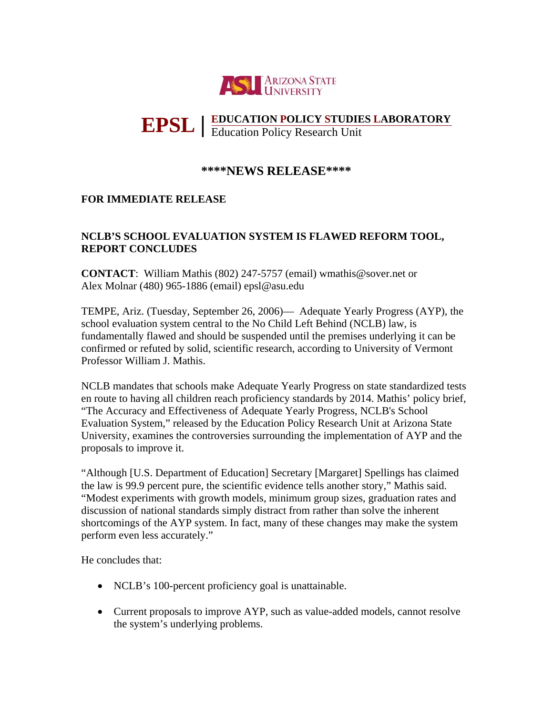

## **EDUCATION POLICY STUDIES LABORATORY EPSL** Education Policy Research Unit **|**

## **\*\*\*\*NEWS RELEASE\*\*\*\***

## **FOR IMMEDIATE RELEASE**

## **NCLB'S SCHOOL EVALUATION SYSTEM IS FLAWED REFORM TOOL, REPORT CONCLUDES**

**CONTACT**: William Mathis (802) 247-5757 (email) wmathis@sover.net or Alex Molnar (480) 965-1886 (email) epsl@asu.edu

TEMPE, Ariz. (Tuesday, September 26, 2006)— Adequate Yearly Progress (AYP), the school evaluation system central to the No Child Left Behind (NCLB) law, is fundamentally flawed and should be suspended until the premises underlying it can be confirmed or refuted by solid, scientific research, according to University of Vermont Professor William J. Mathis.

NCLB mandates that schools make Adequate Yearly Progress on state standardized tests en route to having all children reach proficiency standards by 2014. Mathis' policy brief, "The Accuracy and Effectiveness of Adequate Yearly Progress, NCLB's School Evaluation System," released by the Education Policy Research Unit at Arizona State University, examines the controversies surrounding the implementation of AYP and the proposals to improve it.

"Although [U.S. Department of Education] Secretary [Margaret] Spellings has claimed the law is 99.9 percent pure, the scientific evidence tells another story," Mathis said. "Modest experiments with growth models, minimum group sizes, graduation rates and discussion of national standards simply distract from rather than solve the inherent shortcomings of the AYP system. In fact, many of these changes may make the system perform even less accurately."

He concludes that:

- NCLB's 100-percent proficiency goal is unattainable.
- Current proposals to improve AYP, such as value-added models, cannot resolve the system's underlying problems.